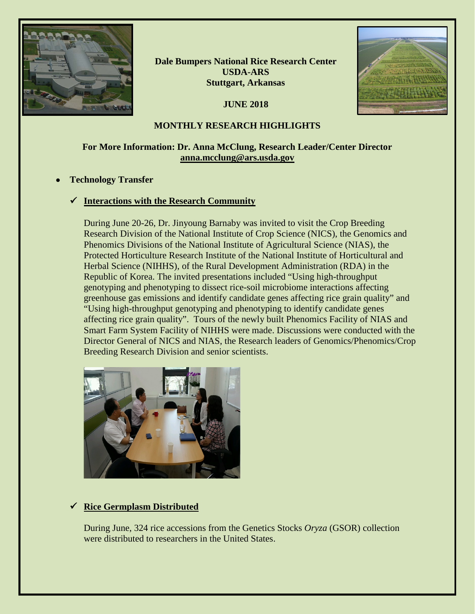

**Dale Bumpers National Rice Research Center USDA-ARS Stuttgart, Arkansas**

**JUNE 2018**



### **MONTHLY RESEARCH HIGHLIGHTS**

## **For More Information: Dr. Anna McClung, Research Leader/Center Director [anna.mcclung@ars.usda.gov](mailto:anna.mcclung@ars.usda.gov)**

### • **Technology Transfer**

### **Interactions with the Research Community**

During June 20-26, Dr. Jinyoung Barnaby was invited to visit the Crop Breeding Research Division of the National Institute of Crop Science (NICS), the Genomics and Phenomics Divisions of the National Institute of Agricultural Science (NIAS), the Protected Horticulture Research Institute of the National Institute of Horticultural and Herbal Science (NIHHS), of the Rural Development Administration (RDA) in the Republic of Korea. The invited presentations included "Using high-throughput genotyping and phenotyping to dissect rice-soil microbiome interactions affecting greenhouse gas emissions and identify candidate genes affecting rice grain quality" and "Using high-throughput genotyping and phenotyping to identify candidate genes affecting rice grain quality". Tours of the newly built Phenomics Facility of NIAS and Smart Farm System Facility of NIHHS were made. Discussions were conducted with the Director General of NICS and NIAS, the Research leaders of Genomics/Phenomics/Crop Breeding Research Division and senior scientists.



# **Rice Germplasm Distributed**

During June, 324 rice accessions from the Genetics Stocks *Oryza* (GSOR) collection were distributed to researchers in the United States.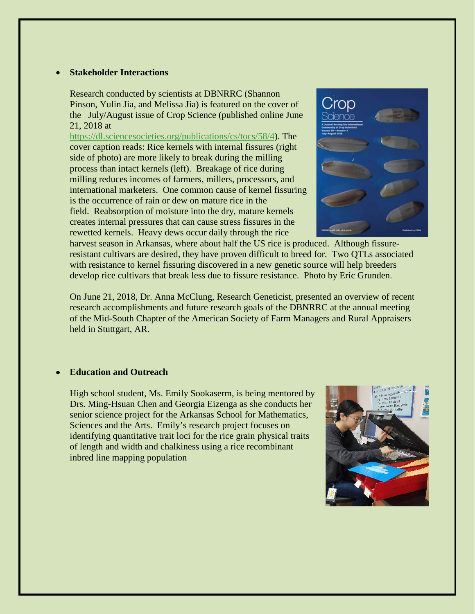#### • **Stakeholder Interactions**

Research conducted by scientists at DBNRRC (Shannon Pinson, Yulin Jia, and Melissa Jia) is featured on the cover of the July/August issue of Crop Science (published online June 21, 2018 at

[https://dl.sciencesocieties.org/publications/cs/tocs/58/4\)](https://dl.sciencesocieties.org/publications/cs/tocs/58/4). The cover caption reads: Rice kernels with internal fissures (right side of photo) are more likely to break during the milling process than intact kernels (left). Breakage of rice during milling reduces incomes of farmers, millers, processors, and international marketers. One common cause of kernel fissuring is the occurrence of rain or dew on mature rice in the field. Reabsorption of moisture into the dry, mature kernels creates internal pressures that can cause stress fissures in the rewetted kernels. Heavy dews occur daily through the rice



harvest season in Arkansas, where about half the US rice is produced. Although fissureresistant cultivars are desired, they have proven difficult to breed for. Two QTLs associated with resistance to kernel fissuring discovered in a new genetic source will help breeders develop rice cultivars that break less due to fissure resistance. Photo by Eric Grunden.

On June 21, 2018, Dr. Anna McClung, Research Geneticist, presented an overview of recent research accomplishments and future research goals of the DBNRRC at the annual meeting of the Mid-South Chapter of the American Society of Farm Managers and Rural Appraisers held in Stuttgart, AR.

#### • **Education and Outreach**

High school student, Ms. Emily Sookaserm, is being mentored by Drs. Ming-Hsuan Chen and Georgia Eizenga as she conducts her senior science project for the Arkansas School for Mathematics, Sciences and the Arts. Emily's research project focuses on identifying quantitative trait loci for the rice grain physical traits of length and width and chalkiness using a rice recombinant inbred line mapping population

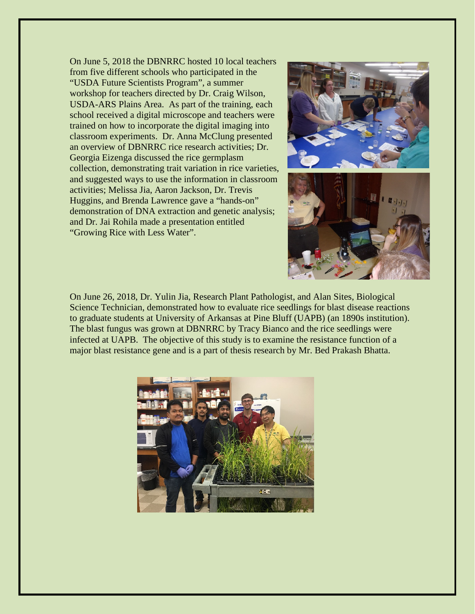On June 5, 2018 the DBNRRC hosted 10 local teachers from five different schools who participated in the "USDA Future Scientists Program", a summer workshop for teachers directed by Dr. Craig Wilson, USDA-ARS Plains Area. As part of the training, each school received a digital microscope and teachers were trained on how to incorporate the digital imaging into classroom experiments. Dr. Anna McClung presented an overview of DBNRRC rice research activities; Dr. Georgia Eizenga discussed the rice germplasm collection, demonstrating trait variation in rice varieties, and suggested ways to use the information in classroom activities; Melissa Jia, Aaron Jackson, Dr. Trevis Huggins, and Brenda Lawrence gave a "hands-on" demonstration of DNA extraction and genetic analysis; and Dr. Jai Rohila made a presentation entitled "Growing Rice with Less Water".



On June 26, 2018, Dr. Yulin Jia, Research Plant Pathologist, and Alan Sites, Biological Science Technician, demonstrated how to evaluate rice seedlings for blast disease reactions to graduate students at University of Arkansas at Pine Bluff (UAPB) (an 1890s institution). The blast fungus was grown at DBNRRC by Tracy Bianco and the rice seedlings were infected at UAPB. The objective of this study is to examine the resistance function of a major blast resistance gene and is a part of thesis research by Mr. Bed Prakash Bhatta.